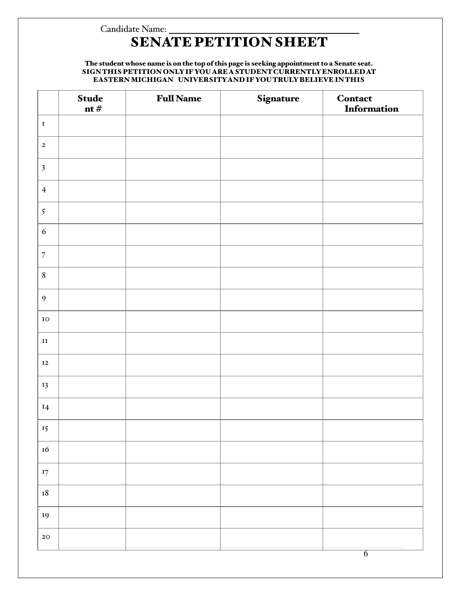## Candidate Name:

# SENATE PETITION SHEET

#### The student whose name is on the top of this page is seeking appointment to a Senate seat. SIGNTHIS PETITION ONLYIFYOUAREASTUDENTCURRENTLYENROLLEDAT EASTERNMICHIGAN UNIVERSITYAND IFYOUTRULYBELIEVE INTHIS

|                  | <b>Stude</b><br>nt $#$ | <b>Full Name</b> | Signature | <b>Contact</b><br>Information |
|------------------|------------------------|------------------|-----------|-------------------------------|
| $\mathbf I$      |                        |                  |           |                               |
| $\mathbf{2}$     |                        |                  |           |                               |
| $\mathfrak{Z}$   |                        |                  |           |                               |
| $\overline{4}$   |                        |                  |           |                               |
| $\mathfrak{I}$   |                        |                  |           |                               |
| $\sqrt{6}$       |                        |                  |           |                               |
| $\sqrt{ }$       |                        |                  |           |                               |
| $\boldsymbol{8}$ |                        |                  |           |                               |
| $\overline{9}$   |                        |                  |           |                               |
| ${\bf IO}$       |                        |                  |           |                               |
| $\mathbf{II}$    |                        |                  |           |                               |
| $\bf I2$         |                        |                  |           |                               |
| 13               |                        |                  |           |                               |
| $I$ 4            |                        |                  |           |                               |
| 15 <sub>15</sub> |                        |                  |           |                               |
| $16\,$           |                        |                  |           |                               |
| $\mathbf{I7}$    |                        |                  |           |                               |
| $\mathbf{I8}$    |                        |                  |           |                               |
| 19               |                        |                  |           |                               |
| $2\textrm{O}$    |                        |                  |           |                               |
|                  |                        |                  |           | $\overline{6}$                |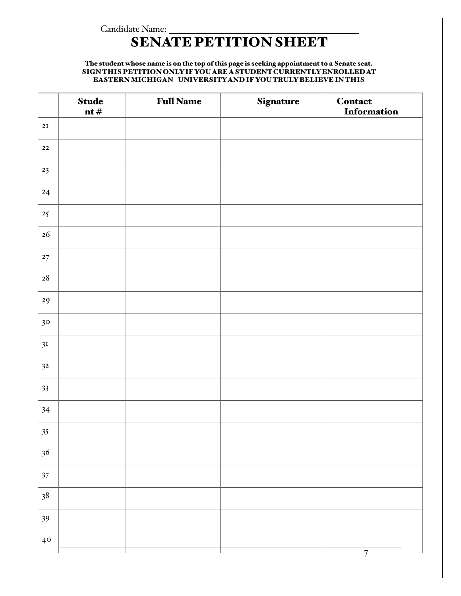## Candidate Name: SENATE PETITION SHEET

### The student whose name is on the top of this page is seeking appointment to a Senate seat. SIGNTHIS PETITION ONLYIFYOUAREASTUDENTCURRENTLYENROLLEDAT EASTERNMICHIGAN UNIVERSITYAND IFYOUTRULYBELIEVE INTHIS

|                  | <b>Stude</b><br>nt $\#$ | <b>Full Name</b> | Signature | Contact<br>Information |
|------------------|-------------------------|------------------|-----------|------------------------|
| 2I               |                         |                  |           |                        |
| $\bf{22}$        |                         |                  |           |                        |
| 23               |                         |                  |           |                        |
| 24               |                         |                  |           |                        |
| $25\phantom{.0}$ |                         |                  |           |                        |
| 26               |                         |                  |           |                        |
| $\bf{27}$        |                         |                  |           |                        |
| $\bf{28}$        |                         |                  |           |                        |
| 29               |                         |                  |           |                        |
| 30 <sub>o</sub>  |                         |                  |           |                        |
| 3I               |                         |                  |           |                        |
| 3 <sup>2</sup>   |                         |                  |           |                        |
| 33               |                         |                  |           |                        |
| 34               |                         |                  |           |                        |
| 35               |                         |                  |           |                        |
| 36               |                         |                  |           |                        |
| $37\,$           |                         |                  |           |                        |
| 38               |                         |                  |           |                        |
| 39               |                         |                  |           |                        |
| $40\,$           |                         |                  |           | 7                      |